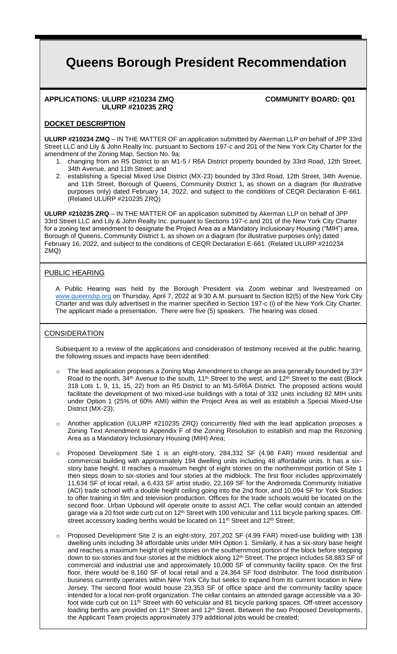# **Queens Borough President Recommendation**

#### **APPLICATIONS: ULURP #210234 ZMQ COMMUNITY BOARD: Q01 ULURP #210235 ZRQ**

## **DOCKET DESCRIPTION**

**ULURP #210234 ZMQ** – IN THE MATTER OF an application submitted by Akerman LLP on behalf of JPP 33rd Street LLC and Lily & John Realty Inc. pursuant to Sections 197-c and 201 of the New York City Charter for the amendment of the Zoning Map, Section No. 9a;

- 1. changing from an R5 District to an M1-5 / R6A District property bounded by 33rd Road, 12th Street, 34th Avenue, and 11th Street; and
- 2. establishing a Special Mixed Use District (MX-23) bounded by 33rd Road, 12th Street, 34th Avenue, and 11th Street, Borough of Queens, Community District 1, as shown on a diagram (for illustrative purposes only) dated February 14, 2022, and subject to the conditions of CEQR Declaration E-661. (Related ULURP #210235 ZRQ)

**ULURP #210235 ZRQ** – IN THE MATTER OF an application submitted by Akerman LLP on behalf of JPP 33rd Street LLC and Lily & John Realty Inc. pursuant to Sections 197-c and 201 of the New York City Charter for a zoning text amendment to designate the Project Area as a Mandatory Inclusionary Housing ("MIH") area, Borough of Queens, Community District 1, as shown on a diagram (for illustrative purposes only) dated February 16, 2022, and subject to the conditions of CEQR Declaration E-661. (Related ULURP #210234 ZMQ)

## PUBLIC HEARING

A Public Hearing was held by the Borough President via Zoom webinar and livestreamed on www.queensbp.org on Thursday, April 7, 2022 at 9:30 A.M. pursuant to Section 82(5) of the New York City Charter and was duly advertised in the manner specified in Section 197-c (i) of the New York City Charter. The applicant made a presentation. There were five (5) speakers. The hearing was closed.

#### **CONSIDERATION**

Subsequent to a review of the applications and consideration of testimony received at the public hearing, the following issues and impacts have been identified:

- $\circ$  The lead application proposes a Zoning Map Amendment to change an area generally bounded by 33rd Road to the north, 34<sup>th</sup> Avenue to the south, 11<sup>th</sup> Street to the west, and 12<sup>th</sup> Street to the east (Block 318 Lots 1, 9, 11, 15, 22) from an R5 District to an M1-5/R6A District. The proposed actions would facilitate the development of two mixed-use buildings with a total of 332 units including 82 MIH units under Option 1 (25% of 60% AMI) within the Project Area as well as establish a Special Mixed-Use District (MX-23);
- o Another application (ULURP #210235 ZRQ) concurrently filed with the lead application proposes a Zoning Text Amendment to Appendix F of the Zoning Resolution to establish and map the Rezoning Area as a Mandatory Inclusionary Housing (MIH) Area;
- o Proposed Development Site 1 is an eight-story, 284,332 SF (4.98 FAR) mixed residential and commercial building with approximately 194 dwelling units including 48 affordable units. It has a sixstory base height. It reaches a maximum height of eight stories on the northernmost portion of Site 1 then steps down to six-stories and four stories at the midblock. The first floor includes approximately 11,634 SF of local retail, a 6,433 SF artist studio, 22,169 SF for the Andromeda Community Initiative (ACI) trade school with a double height ceiling going into the 2nd floor, and 10,094 SF for York Studios to offer training in film and television production. Offices for the trade schools would be located on the second floor. Urban Upbound will operate onsite to assist ACI. The cellar would contain an attended garage via a 20 foot wide curb cut on 12<sup>th</sup> Street with 100 vehicular and 111 bicycle parking spaces. Offstreet accessory loading berths would be located on 11<sup>th</sup> Street and 12<sup>th</sup> Street;
- Proposed Development Site 2 is an eight-story, 207,202 SF (4.99 FAR) mixed-use building with 138 dwelling units including 34 affordable units under MIH Option 1. Similarly, it has a six-story base height and reaches a maximum height of eight stories on the southernmost portion of the block before stepping down to six-stories and four-stories at the midblock along  $12<sup>th</sup>$  Street. The project includes 58,883 SF of commercial and industrial use and approximately 10,000 SF of community facility space. On the first floor, there would be 8,160 SF of local retail and a 24,364 SF food distributor. The food distribution business currently operates within New York City but seeks to expand from its current location in New Jersey. The second floor would house 23,353 SF of office space and the community facility space intended for a local non-profit organization. The cellar contains an attended garage accessible via a 30 foot wide curb cut on 11<sup>th</sup> Street with 60 vehicular and 81 bicycle parking spaces. Off-street accessory loading berths are provided on 11<sup>th</sup> Street and 12<sup>th</sup> Street. Between the two Proposed Developments, the Applicant Team projects approximately 379 additional jobs would be created;